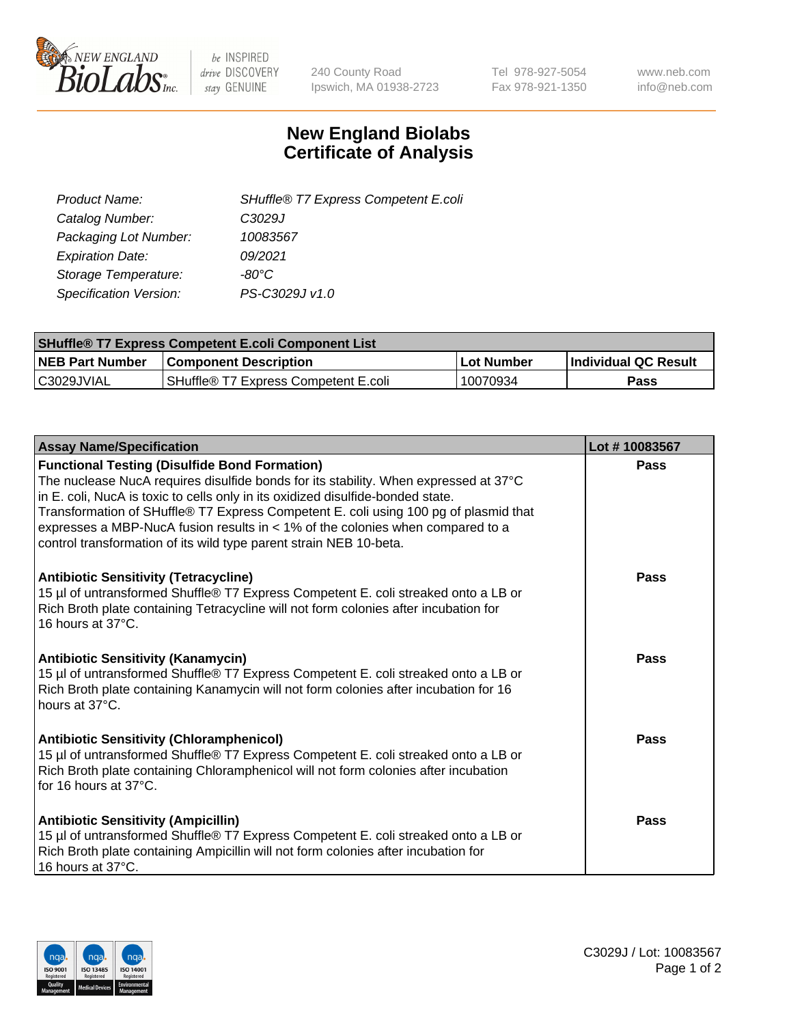

 $be$  INSPIRED drive DISCOVERY stay GENUINE

240 County Road Ipswich, MA 01938-2723 Tel 978-927-5054 Fax 978-921-1350 www.neb.com info@neb.com

## **New England Biolabs Certificate of Analysis**

| SHuffle® T7 Express Competent E.coli |
|--------------------------------------|
| C3029J                               |
| 10083567                             |
| 09/2021                              |
| -80°C.                               |
| PS-C3029J v1.0                       |
|                                      |

| <b>SHuffle® T7 Express Competent E.coli Component List</b> |                                      |            |                      |  |
|------------------------------------------------------------|--------------------------------------|------------|----------------------|--|
| <b>NEB Part Number</b>                                     | <b>Component Description</b>         | Lot Number | Individual QC Result |  |
| IC3029JVIAL                                                | SHuffle® T7 Express Competent E.coli | 10070934   | <b>Pass</b>          |  |

| <b>Assay Name/Specification</b>                                                                                                                                                                                                                                                                                                                                                                                                                                                   | Lot #10083567 |
|-----------------------------------------------------------------------------------------------------------------------------------------------------------------------------------------------------------------------------------------------------------------------------------------------------------------------------------------------------------------------------------------------------------------------------------------------------------------------------------|---------------|
| <b>Functional Testing (Disulfide Bond Formation)</b><br>The nuclease NucA requires disulfide bonds for its stability. When expressed at 37°C<br>in E. coli, NucA is toxic to cells only in its oxidized disulfide-bonded state.<br>Transformation of SHuffle® T7 Express Competent E. coli using 100 pg of plasmid that<br>expresses a MBP-NucA fusion results in $<$ 1% of the colonies when compared to a<br>control transformation of its wild type parent strain NEB 10-beta. | Pass          |
| <b>Antibiotic Sensitivity (Tetracycline)</b><br>15 µl of untransformed Shuffle® T7 Express Competent E. coli streaked onto a LB or<br>Rich Broth plate containing Tetracycline will not form colonies after incubation for<br>16 hours at 37°C.                                                                                                                                                                                                                                   | Pass          |
| <b>Antibiotic Sensitivity (Kanamycin)</b><br>15 µl of untransformed Shuffle® T7 Express Competent E. coli streaked onto a LB or<br>Rich Broth plate containing Kanamycin will not form colonies after incubation for 16<br>hours at 37°C.                                                                                                                                                                                                                                         | Pass          |
| <b>Antibiotic Sensitivity (Chloramphenicol)</b><br>15 µl of untransformed Shuffle® T7 Express Competent E. coli streaked onto a LB or<br>Rich Broth plate containing Chloramphenicol will not form colonies after incubation<br>for 16 hours at $37^{\circ}$ C.                                                                                                                                                                                                                   | Pass          |
| <b>Antibiotic Sensitivity (Ampicillin)</b><br>15 µl of untransformed Shuffle® T7 Express Competent E. coli streaked onto a LB or<br>Rich Broth plate containing Ampicillin will not form colonies after incubation for<br>16 hours at 37°C.                                                                                                                                                                                                                                       | Pass          |